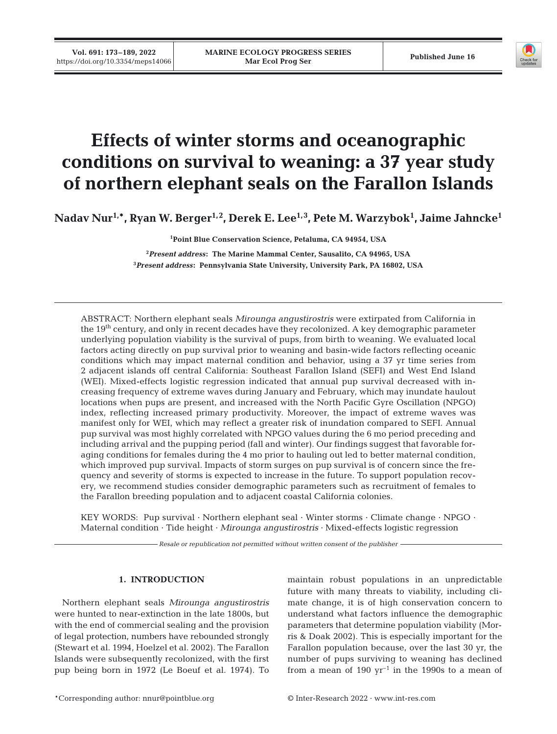

# **Effects of winter storms and oceanographic conditions on survival to weaning: a 37 year study of northern elephant seals on the Farallon Islands**

**Nadav Nur1,\*, Ryan W. Berger1,2, Derek E. Lee1,3, Pete M. Warzybok1 , Jaime Jahncke1**

**1 Point Blue Conservation Science, Petaluma, CA 94954, USA** 

**2** *Present address***: The Marine Mammal Center, Sausalito, CA 94965, USA 3** *Present address***: Pennsylvania State University, University Park, PA 16802, USA**

ABSTRACT: Northern elephant seals *Mirounga angustirostris* were extirpated from California in the 19th century, and only in recent decades have they recolonized. A key demographic parameter underlying population viability is the survival of pups, from birth to weaning. We evaluated local factors acting directly on pup survival prior to weaning and basin-wide factors reflecting oceanic conditions which may impact maternal condition and behavior, using a 37 yr time series from 2 adjacent islands off central California: Southeast Farallon Island (SEFI) and West End Island (WEI). Mixed-effects logistic regression indicated that annual pup survival decreased with in creasing frequency of extreme waves during January and February, which may inundate haulout locations when pups are present, and increased with the North Pacific Gyre Oscillation (NPGO) index, reflecting increased primary productivity. Moreover, the impact of extreme waves was manifest only for WEI, which may reflect a greater risk of inundation compared to SEFI. Annual pup survival was most highly correlated with NPGO values during the 6 mo period preceding and including arrival and the pupping period (fall and winter). Our findings suggest that favorable foraging conditions for females during the 4 mo prior to hauling out led to better maternal condition, which improved pup survival. Impacts of storm surges on pup survival is of concern since the frequency and severity of storms is expected to increase in the future. To support population recovery, we recommend studies consider demographic parameters such as recruitment of females to the Farallon breeding population and to adjacent coastal California colonies.

KEY WORDS: Pup survival · Northern elephant seal · Winter storms · Climate change · NPGO · Maternal condition · Tide height · *Mirounga angustirostris* · Mixed-effects logistic regression

*Resale or republication not permitted without written consent of the publisher*

# **1. INTRODUCTION**

Northern elephant seals *Mirounga angustirostris* were hunted to near-extinction in the late 1800s, but with the end of commercial sealing and the provision of legal protection, numbers have rebounded strongly (Stewart et al. 1994, Hoelzel et al. 2002). The Farallon Islands were subsequently recolonized, with the first pup being born in 1972 (Le Boeuf et al. 1974). To

maintain robust populations in an unpredictable future with many threats to viability, including climate change, it is of high conservation concern to understand what factors influence the demographic parameters that determine population viability (Morris & Doak 2002). This is especially important for the Farallon population because, over the last 30 yr, the number of pups surviving to weaning has declined from a mean of 190  $yr^{-1}$  in the 1990s to a mean of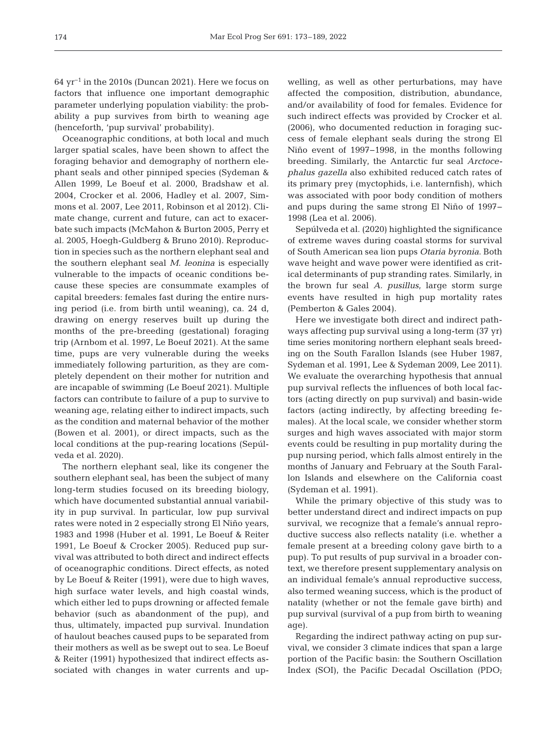64 yr−1 in the 2010s (Duncan 2021). Here we focus on factors that influence one important demographic parameter underlying population viability: the probability a pup survives from birth to weaning age (henceforth, 'pup survival' probability).

Oceanographic conditions, at both local and much larger spatial scales, have been shown to affect the foraging behavior and demography of northern elephant seals and other pinniped species (Sydeman & Allen 1999, Le Boeuf et al. 2000, Bradshaw et al. 2004, Crocker et al. 2006, Hadley et al. 2007, Simmons et al. 2007, Lee 2011, Robinson et al 2012). Climate change, current and future, can act to exacerbate such impacts (McMahon & Burton 2005, Perry et al. 2005, Hoegh-Guldberg & Bruno 2010). Reproduction in species such as the northern elephant seal and the southern elephant seal *M. leonina* is especially vulnerable to the impacts of oceanic conditions be cause these species are consummate examples of capital breeders: females fast during the entire nursing period (i.e. from birth until weaning), ca. 24 d, drawing on energy reserves built up during the months of the pre-breeding (gestational) foraging trip (Arnbom et al. 1997, Le Boeuf 2021). At the same time, pups are very vulnerable during the weeks immediately following parturition, as they are completely dependent on their mother for nutrition and are incapable of swimming (Le Boeuf 2021). Multiple factors can contribute to failure of a pup to survive to weaning age, relating either to indirect impacts, such as the condition and maternal behavior of the mother (Bowen et al. 2001), or direct impacts, such as the local conditions at the pup-rearing locations (Sepúl veda et al. 2020).

The northern elephant seal, like its congener the southern elephant seal, has been the subject of many long-term studies focused on its breeding biology, which have documented substantial annual variability in pup survival. In particular, low pup survival rates were noted in 2 especially strong El Niño years, 1983 and 1998 (Huber et al. 1991, Le Boeuf & Reiter 1991, Le Boeuf & Crocker 2005). Reduced pup survival was attributed to both direct and indirect effects of oceanographic conditions. Direct effects, as noted by Le Boeuf & Reiter (1991), were due to high waves, high surface water levels, and high coastal winds, which either led to pups drowning or affected female behavior (such as abandonment of the pup), and thus, ultimately, impacted pup survival. Inundation of haulout beaches caused pups to be separated from their mothers as well as be swept out to sea. Le Boeuf & Reiter (1991) hypothesized that indirect effects as sociated with changes in water currents and up-

welling, as well as other perturbations, may have affected the composition, distribution, abundance, and/or availability of food for females. Evidence for such indirect effects was provided by Crocker et al. (2006), who documented reduction in foraging success of female elephant seals during the strong El Niño event of 1997−1998, in the months following breeding. Similarly, the Antarctic fur seal *Arctoce pha lus gazella* also exhibited reduced catch rates of its primary prey (myctophids, i.e. lanternfish), which was associated with poor body condition of mothers and pups during the same strong El Niño of 1997− 1998 (Lea et al. 2006).

Sepúlveda et al. (2020) highlighted the significance of extreme waves during coastal storms for survival of South American sea lion pups *Otaria byronia*. Both wave height and wave power were identified as critical determinants of pup stranding rates. Similarly, in the brown fur seal *A. pusillus*, large storm surge events have resulted in high pup mortality rates (Pemberton & Gales 2004).

Here we investigate both direct and indirect pathways affecting pup survival using a long-term (37 yr) time series monitoring northern elephant seals breeding on the South Farallon Islands (see Huber 1987, Sydeman et al. 1991, Lee & Sydeman 2009, Lee 2011). We evaluate the overarching hypothesis that annual pup survival reflects the influences of both local factors (acting directly on pup survival) and basin-wide factors (acting indirectly, by affecting breeding females). At the local scale, we consider whether storm surges and high waves associated with major storm events could be resulting in pup mortality during the pup nursing period, which falls almost entirely in the months of January and February at the South Farallon Islands and elsewhere on the California coast (Sydeman et al. 1991).

While the primary objective of this study was to better understand direct and indirect impacts on pup survival, we recognize that a female's annual reproductive success also reflects natality (i.e. whether a female present at a breeding colony gave birth to a pup). To put results of pup survival in a broader context, we therefore present supplementary analysis on an individual female's annual reproductive success, also termed weaning success, which is the product of natality (whether or not the female gave birth) and pup survival (survival of a pup from birth to weaning age).

Regarding the indirect pathway acting on pup survival, we consider 3 climate indices that span a large portion of the Pacific basin: the Southern Oscillation Index (SOI), the Pacific Decadal Oscillation (PDO;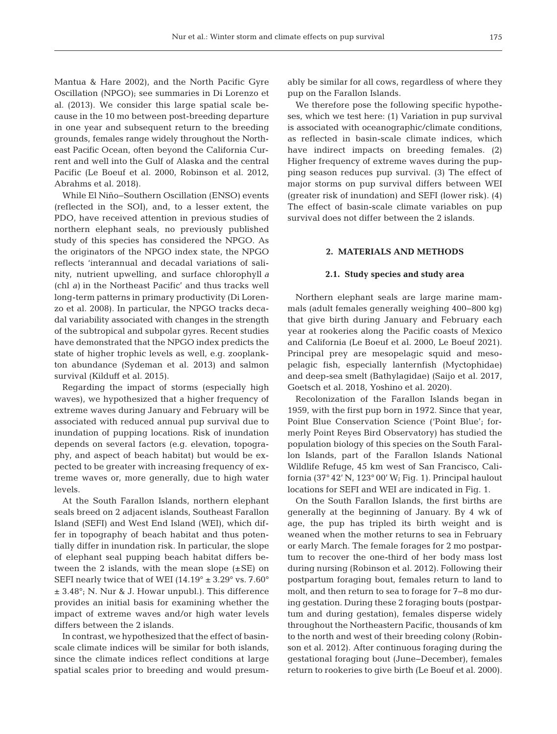Mantua & Hare 2002), and the North Pacific Gyre Oscillation (NPGO); see summaries in Di Lorenzo et al. (2013). We consider this large spatial scale be cause in the 10 mo between post-breeding departure in one year and subsequent return to the breeding grounds, females range widely throughout the Northeast Pacific Ocean, often beyond the California Current and well into the Gulf of Alaska and the central Pacific (Le Boeuf et al. 2000, Robinson et al. 2012, Abrahms et al. 2018).

While El Niño−Southern Oscillation (ENSO) events (reflected in the SOI), and, to a lesser extent, the PDO, have received attention in previous studies of northern elephant seals, no previously published study of this species has considered the NPGO. As the originators of the NPGO index state, the NPGO reflects 'interannual and decadal variations of salinity, nutrient upwelling, and surface chlorophyll *a* (chl *a)* in the Northeast Pacific' and thus tracks well long-term patterns in primary productivity (Di Lorenzo et al. 2008). In particular, the NPGO tracks deca dal variability associated with changes in the strength of the subtropical and subpolar gyres. Recent studies have demonstrated that the NPGO index predicts the state of higher trophic levels as well, e.g. zooplankton abundance (Sydeman et al. 2013) and salmon survival (Kilduff et al. 2015).

Regarding the impact of storms (especially high waves), we hypothesized that a higher frequency of extreme waves during January and February will be associated with reduced annual pup survival due to inundation of pupping locations. Risk of inundation depends on several factors (e.g. elevation, topography, and aspect of beach habitat) but would be expected to be greater with increasing frequency of extreme waves or, more generally, due to high water levels.

At the South Farallon Islands, northern elephant seals breed on 2 adjacent islands, Southeast Farallon Island (SEFI) and West End Island (WEI), which differ in topography of beach habitat and thus potentially differ in inundation risk. In particular, the slope of elephant seal pupping beach habitat differs be tween the 2 islands, with the mean slope  $(\pm SE)$  on SEFI nearly twice that of WEI (14.19 $\degree$  ± 3.29 $\degree$  vs. 7.60 $\degree$ ± 3.48°; N. Nur & J. Howar unpubl.). This difference provides an initial basis for examining whether the impact of extreme waves and/or high water levels differs between the 2 islands.

In contrast, we hypothesized that the effect of basinscale climate indices will be similar for both islands, since the climate indices reflect conditions at large spatial scales prior to breeding and would presumably be similar for all cows, regardless of where they pup on the Farallon Islands.

We therefore pose the following specific hypotheses, which we test here: (1) Variation in pup survival is associated with oceanographic/climate conditions, as reflected in basin-scale climate indices, which have indirect impacts on breeding females. (2) Higher frequency of extreme waves during the pupping season reduces pup survival. (3) The effect of major storms on pup survival differs between WEI (greater risk of inundation) and SEFI (lower risk). (4) The effect of basin-scale climate variables on pup survival does not differ between the 2 islands.

# **2. MATERIALS AND METHODS**

#### **2.1. Study species and study area**

Northern elephant seals are large marine mammals (adult females generally weighing 400−800 kg) that give birth during January and February each year at rookeries along the Pacific coasts of Mexico and California (Le Boeuf et al. 2000, Le Boeuf 2021). Principal prey are mesopelagic squid and mesopelagic fish, especially lanternfish (Myctophidae) and deep-sea smelt (Bathylagidae) (Saijo et al. 2017, Goetsch et al. 2018, Yoshino et al. 2020).

Recolonization of the Farallon Islands began in 1959, with the first pup born in 1972. Since that year, Point Blue Conservation Science ('Point Blue'; formerly Point Reyes Bird Observatory) has studied the population biology of this species on the South Farallon Islands, part of the Farallon Islands National Wildlife Refuge, 45 km west of San Francisco, California (37° 42' N, 123° 00' W; Fig. 1). Principal haulout locations for SEFI and WEI are indicated in Fig. 1.

On the South Farallon Islands, the first births are generally at the beginning of January. By 4 wk of age, the pup has tripled its birth weight and is weaned when the mother returns to sea in February or early March. The female forages for 2 mo postpartum to recover the one-third of her body mass lost during nursing (Robinson et al. 2012). Following their postpartum foraging bout, females return to land to molt, and then return to sea to forage for 7−8 mo during gestation. During these 2 foraging bouts (postpartum and during gestation), females disperse widely throughout the Northeastern Pacific, thousands of km to the north and west of their breeding colony (Robinson et al. 2012). After continuous foraging during the gestational foraging bout (June−December), females return to rookeries to give birth (Le Boeuf et al. 2000).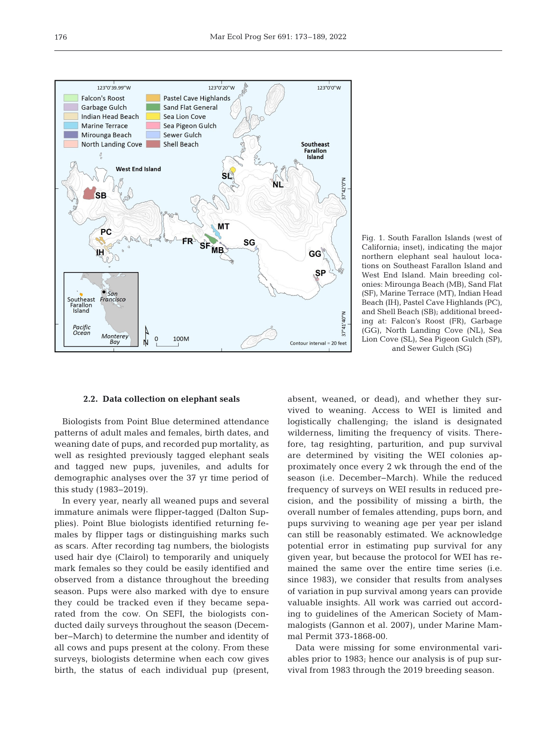

Fig. 1. South Farallon Islands (west of California; inset), indicating the major northern elephant seal haulout locations on Southeast Farallon Island and West End Island. Main breeding colonies: Mirounga Beach (MB), Sand Flat (SF), Marine Terrace (MT), Indian Head Beach (IH), Pastel Cave Highlands (PC), and Shell Beach (SB); additional breeding at: Falcon's Roost (FR), Garbage (GG), North Landing Cove (NL), Sea Lion Cove (SL), Sea Pigeon Gulch (SP), and Sewer Gulch (SG)

# **2.2. Data collection on elephant seals**

Biologists from Point Blue determined attendance patterns of adult males and females, birth dates, and weaning date of pups, and recorded pup mortality, as well as resighted previously tagged elephant seals and tagged new pups, juveniles, and adults for demographic analyses over the 37 yr time period of this study (1983−2019).

In every year, nearly all weaned pups and several immature animals were flipper-tagged (Dalton Supplies). Point Blue biologists identified returning females by flipper tags or distinguishing marks such as scars. After recording tag numbers, the biologists used hair dye (Clairol) to temporarily and uniquely mark females so they could be easily identified and observed from a distance throughout the breeding season. Pups were also marked with dye to ensure they could be tracked even if they became separated from the cow. On SEFI, the biologists conducted daily surveys throughout the season (December−March) to determine the number and identity of all cows and pups present at the colony. From these surveys, biologists determine when each cow gives birth, the status of each individual pup (present,

absent, weaned, or dead), and whether they survived to weaning. Access to WEI is limited and logistically challenging; the island is designated wilderness, limiting the frequency of visits. Therefore, tag resighting, parturition, and pup survival are determined by visiting the WEI colonies approximately once every 2 wk through the end of the season (i.e. December−March). While the reduced frequency of surveys on WEI results in reduced precision, and the possibility of missing a birth, the overall number of females attending, pups born, and pups surviving to weaning age per year per island can still be reasonably estimated. We acknowledge potential error in estimating pup survival for any given year, but because the protocol for WEI has re mained the same over the entire time series (i.e. since 1983), we consider that results from analyses of variation in pup survival among years can provide valuable insights. All work was carried out according to guidelines of the American Society of Mammalogists (Gannon et al. 2007), under Marine Mammal Permit 373-1868-00.

Data were missing for some environmental variables prior to 1983; hence our analysis is of pup survival from 1983 through the 2019 breeding season.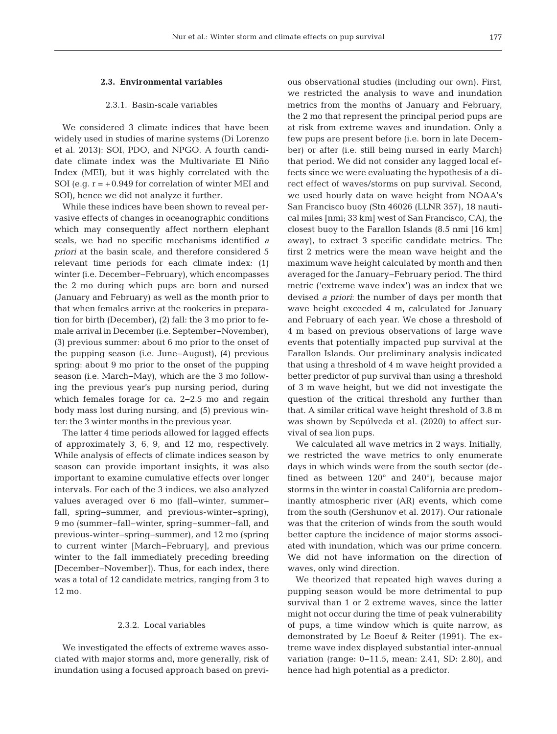## **2.3. Environmental variables**

# 2.3.1. Basin-scale variables

We considered 3 climate indices that have been widely used in studies of marine systems (Di Lorenzo et al. 2013): SOI, PDO, and NPGO. A fourth candidate climate index was the Multivariate El Niño Index (MEI), but it was highly correlated with the SOI (e.g.  $r = +0.949$  for correlation of winter MEI and SOI), hence we did not analyze it further.

While these indices have been shown to reveal pervasive effects of changes in oceanographic conditions which may consequently affect northern elephant seals, we had no specific mechanisms identified *a priori* at the basin scale, and therefore considered 5 relevant time periods for each climate index: (1) winter (i.e. December-February), which encompasses the 2 mo during which pups are born and nursed (January and February) as well as the month prior to that when females arrive at the rookeries in preparation for birth (December), (2) fall: the 3 mo prior to female arrival in December (i.e. September−November), (3) previous summer: about 6 mo prior to the onset of the pupping season (i.e. June−August), (4) previous spring: about 9 mo prior to the onset of the pupping season (i.e. March−May), which are the 3 mo following the previous year's pup nursing period, during which females forage for ca. 2−2.5 mo and regain body mass lost during nursing, and (5) previous winter: the 3 winter months in the previous year.

The latter 4 time periods allowed for lagged effects of approximately 3, 6, 9, and 12 mo, respectively. While analysis of effects of climate indices season by season can provide important insights, it was also im portant to examine cumulative effects over longer intervals. For each of the 3 indices, we also analyzed values averaged over 6 mo (fall−winter, summer− fall, spring−summer, and previous-winter−spring), 9 mo (summer−fall−winter, spring−summer−fall, and previous-winter−spring−summer), and 12 mo (spring to current winter [March−February], and previous winter to the fall immediately preceding breeding [December−November]). Thus, for each index, there was a total of 12 candidate metrics, ranging from 3 to 12 mo.

# 2.3.2. Local variables

We investigated the effects of extreme waves associated with major storms and, more generally, risk of inundation using a focused approach based on previous observational studies (including our own). First, we restricted the analysis to wave and inundation metrics from the months of January and February, the 2 mo that represent the principal period pups are at risk from extreme waves and inundation. Only a few pups are present before (i.e. born in late December) or after (i.e. still being nursed in early March) that period. We did not consider any lagged local effects since we were evaluating the hypothesis of a direct effect of waves/storms on pup survival. Second, we used hourly data on wave height from NOAA's San Francisco buoy (Stn 46026 (LLNR 357), 18 nautical miles [nmi; 33 km] west of San Francisco, CA), the closest buoy to the Farallon Islands (8.5 nmi [16 km] away), to extract 3 specific candidate metrics. The first 2 metrics were the mean wave height and the maximum wave height calculated by month and then averaged for the January−February period. The third metric ('extreme wave index') was an index that we devised *a priori*: the number of days per month that wave height exceeded 4 m, calculated for January and February of each year. We chose a threshold of 4 m based on previous observations of large wave events that potentially impacted pup survival at the Farallon Islands. Our preliminary analysis indicated that using a threshold of 4 m wave height provided a better predictor of pup survival than using a threshold of 3 m wave height, but we did not investigate the question of the critical threshold any further than that. A similar critical wave height threshold of 3.8 m was shown by Sepúlveda et al. (2020) to affect survival of sea lion pups.

We calculated all wave metrics in 2 ways. Initially, we restricted the wave metrics to only enumerate days in which winds were from the south sector (defined as between 120° and 240°), because major storms in the winter in coastal California are predominantly atmospheric river (AR) events, which come from the south (Gershunov et al. 2017). Our rationale was that the criterion of winds from the south would better capture the incidence of major storms associated with inundation, which was our prime concern. We did not have information on the direction of waves, only wind direction.

We theorized that repeated high waves during a pupping season would be more detrimental to pup survival than 1 or 2 extreme waves, since the latter might not occur during the time of peak vulnerability of pups, a time window which is quite narrow, as demonstrated by Le Boeuf & Reiter (1991). The ex treme wave index displayed substantial inter-annual variation (range: 0−11.5, mean: 2.41, SD: 2.80), and hence had high potential as a predictor.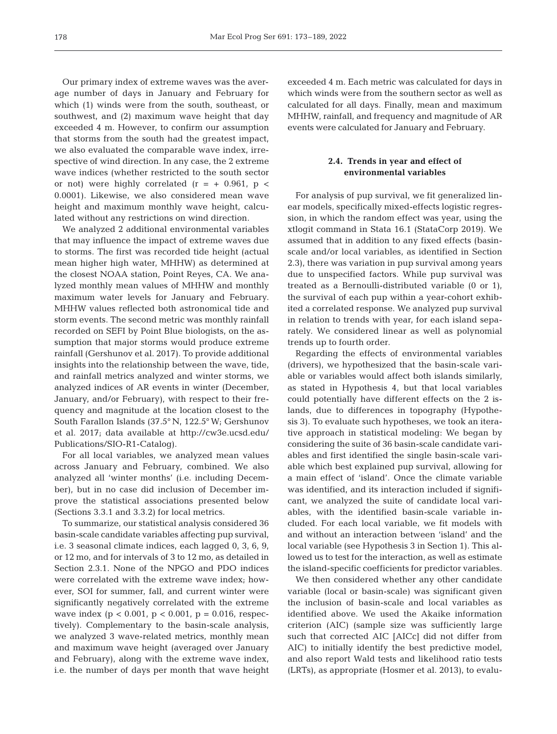Our primary index of extreme waves was the average number of days in January and February for which (1) winds were from the south, southeast, or southwest, and (2) maximum wave height that day exceeded 4 m. However, to confirm our assumption that storms from the south had the greatest impact, we also evaluated the comparable wave index, irrespective of wind direction. In any case, the 2 extreme wave indices (whether restricted to the south sector or not) were highly correlated  $(r = +0.961, p <$ 0.0001). Likewise, we also considered mean wave height and maximum monthly wave height, calculated without any restrictions on wind direction.

We analyzed 2 additional environmental variables that may influence the impact of extreme waves due to storms. The first was recorded tide height (actual mean higher high water, MHHW) as determined at the closest NOAA station, Point Reyes, CA. We analyzed monthly mean values of MHHW and monthly maximum water levels for January and February. MHHW values reflected both astronomical tide and storm events. The second metric was monthly rainfall recorded on SEFI by Point Blue biologists, on the assumption that major storms would produce extreme rainfall (Gershunov et al. 2017). To provide additional insights into the relationship between the wave, tide, and rainfall metrics analyzed and winter storms, we analyzed indices of AR events in winter (December, January, and/or February), with respect to their frequency and magnitude at the location closest to the South Farallon Islands (37.5° N, 122.5° W; Gershunov et al. 2017; data available at http://cw3e.ucsd.edu/ Publications/SIO-R1-Catalog).

For all local variables, we analyzed mean values across January and February, combined. We also analyzed all 'winter months' (i.e. including December), but in no case did inclusion of December improve the statistical associations presented below (Sections 3.3.1 and 3.3.2) for local metrics.

To summarize, our statistical analysis considered 36 basin-scale candidate variables affecting pup survival, i.e. 3 seasonal climate indices, each lagged 0, 3, 6, 9, or 12 mo, and for intervals of 3 to 12 mo, as detailed in Section 2.3.1. None of the NPGO and PDO indices were correlated with the extreme wave index; however, SOI for summer, fall, and current winter were significantly negatively correlated with the extreme wave index ( $p < 0.001$ ,  $p < 0.001$ ,  $p = 0.016$ , respectively). Complementary to the basin-scale analysis, we analyzed 3 wave-related metrics, monthly mean and maximum wave height (averaged over January and February), along with the extreme wave index, i.e. the number of days per month that wave height exceeded 4 m. Each metric was calculated for days in which winds were from the southern sector as well as calculated for all days. Finally, mean and maximum MHHW, rainfall, and frequency and magnitude of AR events were calculated for January and February.

# **2.4. Trends in year and effect of environmental variables**

For analysis of pup survival, we fit generalized linear models, specifically mixed-effects logistic regression, in which the random effect was year, using the xtlogit command in Stata 16.1 (StataCorp 2019). We assumed that in addition to any fixed effects (basinscale and/or local variables, as identified in Section 2.3), there was variation in pup survival among years due to unspecified factors. While pup survival was treated as a Bernoulli-distributed variable (0 or 1), the survival of each pup within a year-cohort exhibited a correlated response. We analyzed pup survival in relation to trends with year, for each island separately. We considered linear as well as polynomial trends up to fourth order.

Regarding the effects of environmental variables (drivers), we hypothesized that the basin-scale variable or variables would affect both islands similarly, as stated in Hypothesis 4, but that local variables could potentially have different effects on the 2 islands, due to differences in topography (Hypothesis 3). To evaluate such hypotheses, we took an iterative approach in statistical modeling: We began by considering the suite of 36 basin-scale candidate variables and first identified the single basin-scale variable which best explained pup survival, allowing for a main effect of 'island'. Once the climate variable was identified, and its interaction included if significant, we analyzed the suite of candidate local variables, with the identified basin-scale variable included. For each local variable, we fit models with and without an interaction between 'island' and the local variable (see Hypothesis 3 in Section 1). This allowed us to test for the interaction, as well as estimate the island-specific coefficients for predictor variables.

We then considered whether any other candidate variable (local or basin-scale) was significant given the inclusion of basin-scale and local variables as identified above. We used the Akaike information criterion (AIC) (sample size was sufficiently large such that corrected AIC [AICc] did not differ from AIC) to initially identify the best predictive model, and also report Wald tests and likelihood ratio tests (LRTs), as appropriate (Hosmer et al. 2013), to evalu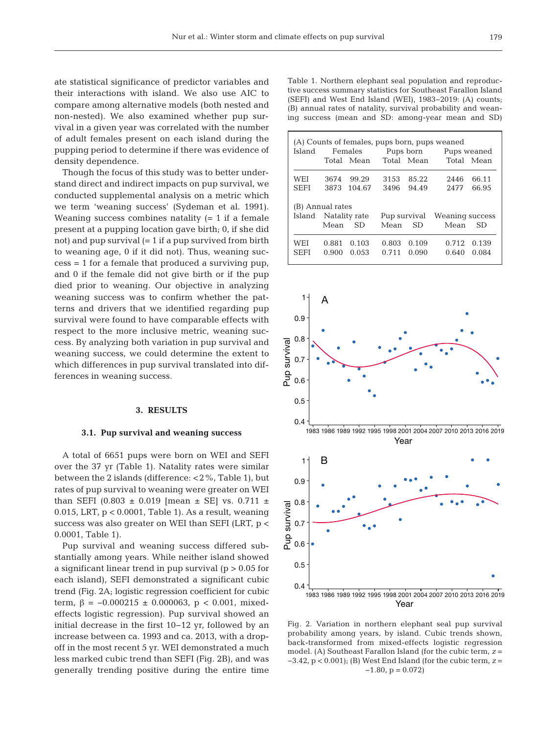ate statistical significance of predictor variables and their interactions with island. We also use AIC to compare among alternative models (both nested and non-nested). We also examined whether pup survival in a given year was correlated with the number of adult females present on each island during the pupping period to determine if there was evidence of density dependence.

Though the focus of this study was to better understand direct and indirect impacts on pup survival, we conducted supplemental analysis on a metric which we term 'weaning success' (Sydeman et al. 1991). Weaning success combines natality  $(= 1$  if a female present at a pupping location gave birth; 0, if she did not) and pup survival (= 1 if a pup survived from birth to weaning age, 0 if it did not). Thus, weaning success = 1 for a female that produced a surviving pup, and 0 if the female did not give birth or if the pup died prior to weaning. Our objective in analyzing weaning success was to confirm whether the patterns and drivers that we identified regarding pup survival were found to have comparable effects with respect to the more inclusive metric, weaning success. By analyzing both variation in pup survival and weaning success, we could determine the extent to which differences in pup survival translated into differences in weaning success.

## **3. RESULTS**

#### **3.1. Pup survival and weaning success**

A total of 6651 pups were born on WEI and SEFI over the 37 yr (Table 1). Natality rates were similar between the 2 islands (difference:  $<$  2%, Table 1), but rates of pup survival to weaning were greater on WEI than SEFI (0.803  $\pm$  0.019 [mean  $\pm$  SE] vs. 0.711  $\pm$ 0.015, LRT, p < 0.0001, Table 1). As a result, weaning success was also greater on WEI than SEFI (LRT, p < 0.0001, Table 1).

Pup survival and weaning success differed substantially among years. While neither island showed a significant linear trend in pup survival ( $p > 0.05$  for each island), SEFI demonstrated a significant cubic trend (Fig. 2A; logistic regression coefficient for cubic term,  $β = -0.000215 ± 0.000063$ ,  $p < 0.001$ , mixedeffects logistic regression). Pup survival showed an initial decrease in the first 10−12 yr, followed by an increase between ca. 1993 and ca. 2013, with a dropoff in the most recent 5 yr. WEI demonstrated a much less marked cubic trend than SEFI (Fig. 2B), and was generally trending positive during the entire time Table 1. Northern elephant seal population and reproductive success summary statistics for Southeast Farallon Island (SEFI) and West End Island (WEI), 1983−2019: (A) counts; (B) annual rates of natality, survival probability and weaning success (mean and SD: among-year mean and SD)

| Island           |                      | Females    |       | Pups born  | (A) Counts of females, pups born, pups weaned<br>Pups weaned |            |  |
|------------------|----------------------|------------|-------|------------|--------------------------------------------------------------|------------|--|
|                  |                      | Total Mean |       | Total Mean |                                                              | Total Mean |  |
| WEI              | 3674                 | 99.29      | 3153  | 85.22      | 2446                                                         | 66.11      |  |
| <b>SEFI</b>      | 3873                 | 104.67     | 3496  | 94.49      | 2477                                                         | 66.95      |  |
| (B) Annual rates |                      |            |       |            |                                                              |            |  |
|                  | Island Natality rate |            |       |            | Pup survival Weaning success                                 |            |  |
|                  | Mean                 | SD.        | Mean  | SD.        | Mean                                                         | SD.        |  |
| WEI              | 0.881                | 0.103      | 0.803 | 0.109      | 0.712                                                        | 0.139      |  |
| <b>SEFI</b>      | 0.900                | 0.053      | 0.711 | 0.090      | 0.640                                                        | 0.084      |  |



Fig. 2. Variation in northern elephant seal pup survival probability among years, by island. Cubic trends shown, back-transformed from mixed-effects logistic regression model. (A) Southeast Farallon Island (for the cubic term, *z* = −3.42, p < 0.001); (B) West End Island (for the cubic term, *z* =  $-1.80$ ,  $p = 0.072$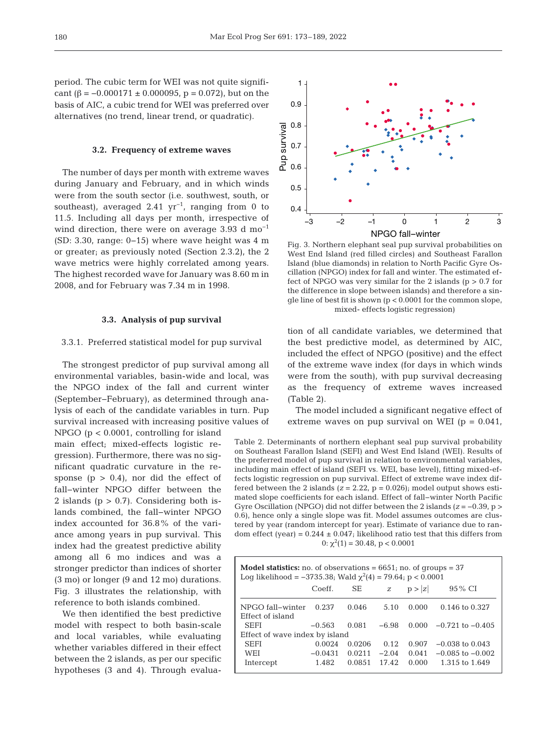period. The cubic term for WEI was not quite significant  $(\beta = -0.000171 \pm 0.000095, p = 0.072)$ , but on the basis of AIC, a cubic trend for WEI was preferred over alternatives (no trend, linear trend, or quadratic).

## **3.2. Frequency of extreme waves**

The number of days per month with extreme waves during January and February, and in which winds were from the south sector (i.e. southwest, south, or southeast), averaged 2.41  $yr^{-1}$ , ranging from 0 to 11.5. Including all days per month, irrespective of wind direction, there were on average 3.93 d mo<sup>-1</sup> (SD: 3.30, range: 0−15) where wave height was 4 m or greater; as previously noted (Section 2.3.2), the 2 wave metrics were highly correlated among years. The highest recorded wave for January was 8.60 m in 2008, and for February was 7.34 m in 1998.

#### **3.3. Analysis of pup survival**

#### 3.3.1. Preferred statistical model for pup survival

The strongest predictor of pup survival among all environmental variables, basin-wide and local, was the NPGO index of the fall and current winter (September−February), as determined through ana lysis of each of the candidate variables in turn. Pup survival increased with increasing positive values of

NPGO (p < 0.0001, controlling for island main effect; mixed-effects logistic re gression). Furthermore, there was no sig nificant quadratic curvature in the response  $(p > 0.4)$ , nor did the effect of fall−winter NPGO differ between the 2 islands ( $p > 0.7$ ). Considering both islands combined, the fall−winter NPGO index accounted for 36.8% of the variance among years in pup survival. This index had the greatest predictive ability among all 6 mo indices and was a stronger predictor than indices of shorter (3 mo) or longer (9 and 12 mo) durations. Fig. 3 illustrates the relationship, with reference to both islands combined.

We then identified the best predictive model with respect to both basin-scale and local variables, while evaluating whether variables differed in their effect between the 2 islands, as per our specific hypotheses (3 and 4). Through evalua-



Fig. 3. Northern elephant seal pup survival probabilities on West End Island (red filled circles) and Southeast Farallon Island (blue diamonds) in relation to North Pacific Gyre Oscillation (NPGO) index for fall and winter. The estimated effect of NPGO was very similar for the 2 islands ( $p > 0.7$  for the difference in slope between islands) and therefore a single line of best fit is shown (p < 0.0001 for the common slope, mixed- effects logistic regression)

tion of all candidate variables, we determined that the best predictive model, as determined by AIC, included the effect of NPGO (positive) and the effect of the extreme wave index (for days in which winds were from the south), with pup survival decreasing as the frequency of extreme waves increased (Table 2).

The model included a significant negative effect of extreme waves on pup survival on WEI  $(p = 0.041)$ ,

Table 2. Determinants of northern elephant seal pup survival probability on Southeast Farallon Island (SEFI) and West End Island (WEI). Results of the preferred model of pup survival in relation to environmental variables, including main effect of island (SEFI vs. WEI, base level), fitting mixed-effects logistic regression on pup survival. Effect of extreme wave index differed between the 2 islands  $(z = 2.22, p = 0.026)$ ; model output shows estimated slope coefficients for each island. Effect of fall−winter North Pacific Gyre Oscillation (NPGO) did not differ between the 2 islands (*z* = −0.39, p > 0.6), hence only a single slope was fit. Model assumes outcomes are clustered by year (random intercept for year). Estimate of variance due to random effect (year) =  $0.244 \pm 0.047$ ; likelihood ratio test that this differs from 0:  $\chi^2(1) = 30.48$ , p < 0.0001

| <b>Model statistics:</b> no. of observations = $6651$ ; no. of groups = $37$<br>Log likelihood = -3735.38; Wald $\chi^2(4)$ = 79.64; p < 0.0001 |           |        |         |        |                      |
|-------------------------------------------------------------------------------------------------------------------------------------------------|-----------|--------|---------|--------|----------------------|
|                                                                                                                                                 | Coeff.    | SE     | Z       | p >  z | 95% CI               |
| NPGO fall-winter                                                                                                                                | 0.237     | 0.046  | 5.10    | 0.000  | $0.146$ to $0.327$   |
| Effect of island                                                                                                                                |           |        |         |        |                      |
| <b>SEFI</b>                                                                                                                                     | $-0.563$  | 0.081  | $-6.98$ | 0.000  | $-0.721$ to $-0.405$ |
| Effect of wave index by island                                                                                                                  |           |        |         |        |                      |
| <b>SEFI</b>                                                                                                                                     | 0.0024    | 0.0206 | 0.12    | 0.907  | $-0.038$ to $0.043$  |
| <b>WEI</b>                                                                                                                                      | $-0.0431$ | 0.0211 | $-2.04$ | 0.041  | $-0.085$ to $-0.002$ |
| Intercept                                                                                                                                       | 1.482     | 0.0851 | 17.42   | 0.000  | 1.315 to 1.649       |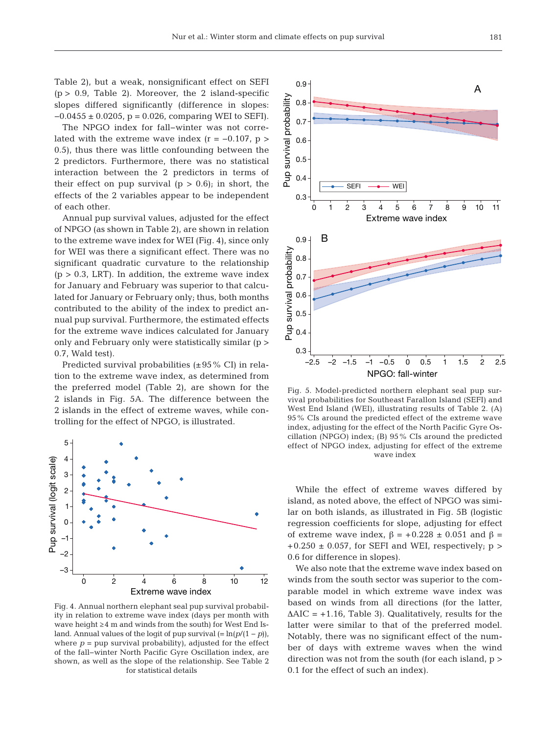Table 2), but a weak, nonsignificant effect on SEFI  $(p > 0.9,$  Table 2). Moreover, the 2 island-specific slopes differed significantly (difference in slopes:  $-0.0455 \pm 0.0205$ , p = 0.026, comparing WEI to SEFI).

The NPGO index for fall−winter was not correlated with the extreme wave index  $(r = -0.107, p >$ 0.5), thus there was little confounding between the 2 predictors. Furthermore, there was no statistical interaction between the 2 predictors in terms of their effect on pup survival  $(p > 0.6)$ ; in short, the effects of the 2 variables appear to be independent of each other.

Annual pup survival values, adjusted for the effect of NPGO (as shown in Table 2), are shown in relation to the extreme wave index for WEI (Fig. 4), since only for WEI was there a significant effect. There was no significant quadratic curvature to the relationship  $(p > 0.3, LRT)$ . In addition, the extreme wave index for January and February was superior to that calculated for January or February only; thus, both months contributed to the ability of the index to predict an nual pup survival. Furthermore, the estimated effects for the extreme wave indices calculated for January only and February only were statistically similar (p > 0.7, Wald test).

Predicted survival probabilities  $(\pm 95\% \text{ CI})$  in relation to the extreme wave index, as determined from the preferred model (Table 2), are shown for the 2 islands in Fig. 5A. The difference between the 2 islands in the effect of extreme waves, while controlling for the effect of NPGO, is illustrated.



Fig. 4. Annual northern elephant seal pup survival probability in relation to extreme wave index (days per month with wave height ≥4 m and winds from the south) for West End Island. Annual values of the logit of pup survival  $(= ln(p/(1 − p))$ , where  $p =$  pup survival probability), adjusted for the effect of the fall−winter North Pacific Gyre Oscillation index, are shown, as well as the slope of the relationship. See Table 2 for statistical details



Fig. 5. Model-predicted northern elephant seal pup survival probabilities for Southeast Farallon Island (SEFI) and West End Island (WEI), illustrating results of Table 2. (A) 95% CIs around the predicted effect of the extreme wave index, adjusting for the effect of the North Pacific Gyre Oscillation (NPGO) index; (B) 95% CIs around the predicted effect of NPGO index, adjusting for effect of the extreme wave index

While the effect of extreme waves differed by island, as noted above, the effect of NPGO was similar on both islands, as illustrated in Fig. 5B (logistic regression coefficients for slope, adjusting for effect of extreme wave index,  $β = +0.228 ± 0.051$  and  $β =$  $+0.250 \pm 0.057$ , for SEFI and WEI, respectively; p > 0.6 for difference in slopes).

We also note that the extreme wave index based on winds from the south sector was superior to the comparable model in which extreme wave index was based on winds from all directions (for the latter,  $\Delta AIC = +1.16$ , Table 3). Qualitatively, results for the latter were similar to that of the preferred model. Notably, there was no significant effect of the number of days with extreme waves when the wind direction was not from the south (for each island, p > 0.1 for the effect of such an index).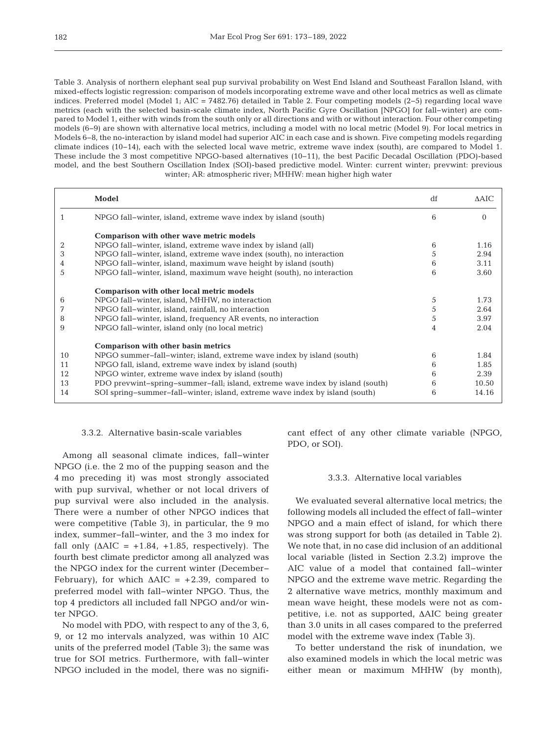Table 3. Analysis of northern elephant seal pup survival probability on West End Island and Southeast Farallon Island, with mixed-effects logistic regression: comparison of models incorporating extreme wave and other local metrics as well as climate indices. Preferred model (Model 1; AIC = 7482.76) detailed in Table 2. Four competing models (2−5) regarding local wave metrics (each with the selected basin-scale climate index, North Pacific Gyre Oscillation [NPGO] for fall−winter) are compared to Model 1, either with winds from the south only or all directions and with or without interaction. Four other competing models (6−9) are shown with alternative local metrics, including a model with no local metric (Model 9). For local metrics in Models 6−8, the no-interaction by island model had superior AIC in each case and is shown. Five competing models regarding climate indices (10−14), each with the selected local wave metric, extreme wave index (south), are compared to Model 1. These include the 3 most competitive NPGO-based alternatives (10−11), the best Pacific Decadal Oscillation (PDO)-based model, and the best Southern Oscillation Index (SOI)-based predictive model. Winter: current winter; prevwint: previous winter; AR: atmospheric river; MHHW: mean higher high water

|    | Model                                                                         | df | <b>AAIC</b> |
|----|-------------------------------------------------------------------------------|----|-------------|
|    | NPGO fall–winter, island, extreme wave index by island (south)                | 6  | $\Omega$    |
|    | Comparison with other wave metric models                                      |    |             |
| 2  | NPGO fall–winter, island, extreme wave index by island (all)                  | 6  | 1.16        |
| 3  | NPGO fall–winter, island, extreme wave index (south), no interaction          | 5  | 2.94        |
| 4  | NPGO fall–winter, island, maximum wave height by island (south)               | 6  | 3.11        |
| 5  | NPGO fall-winter, island, maximum wave height (south), no interaction         | 6  | 3.60        |
|    | Comparison with other local metric models                                     |    |             |
| 6  | NPGO fall-winter, island, MHHW, no interaction                                | 5  | 1.73        |
| 7  | NPGO fall-winter, island, rainfall, no interaction                            | 5  | 2.64        |
| 8  | NPGO fall–winter, island, frequency AR events, no interaction                 | 5  | 3.97        |
| 9  | NPGO fall–winter, island only (no local metric)                               | 4  | 2.04        |
|    | Comparison with other basin metrics                                           |    |             |
| 10 | NPGO summer-fall-winter, island, extreme wave index by island (south)         | 6  | 1.84        |
| 11 | NPGO fall, island, extreme wave index by island (south)                       | 6  | 1.85        |
| 12 | NPGO winter, extreme wave index by island (south)                             | 6  | 2.39        |
| 13 | PDO prevwint-spring-summer-fall; island, extreme wave index by island (south) | 6  | 10.50       |
| 14 | SOI spring-summer-fall-winter, island, extreme wave index by island (south)   | 6  | 14.16       |

## 3.3.2. Alternative basin-scale variables

Among all seasonal climate indices, fall−winter NPGO (i.e. the 2 mo of the pupping season and the 4 mo preceding it) was most strongly associated with pup survival, whether or not local drivers of pup survival were also included in the analysis. There were a number of other NPGO indices that were competitive (Table 3), in particular, the 9 mo index, summer−fall−winter, and the 3 mo index for fall only  $(AAIC = +1.84, +1.85,$  respectively). The fourth best climate predictor among all analyzed was the NPGO index for the current winter (December− February), for which  $\triangle AIC = +2.39$ , compared to preferred model with fall−winter NPGO. Thus, the top 4 predictors all included fall NPGO and/or winter NPGO.

No model with PDO, with respect to any of the 3, 6, 9, or 12 mo intervals analyzed, was within 10 AIC units of the preferred model (Table 3); the same was true for SOI metrics. Furthermore, with fall−winter NPGO included in the model, there was no significant effect of any other climate variable (NPGO, PDO, or SOI).

## 3.3.3. Alternative local variables

We evaluated several alternative local metrics; the following models all included the effect of fall−winter NPGO and a main effect of island, for which there was strong support for both (as detailed in Table 2). We note that, in no case did inclusion of an additional local variable (listed in Section 2.3.2) improve the AIC value of a model that contained fall−winter NPGO and the extreme wave metric. Regarding the 2 alternative wave metrics, monthly maximum and mean wave height, these models were not as competitive, i.e. not as supported, ΔAIC being greater than 3.0 units in all cases compared to the preferred model with the extreme wave index (Table 3).

To better understand the risk of inundation, we also examined models in which the local metric was either mean or maximum MHHW (by month),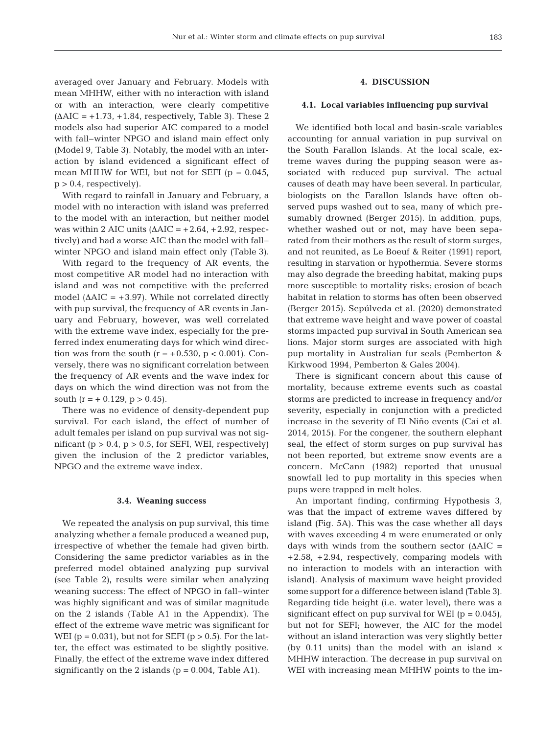averaged over January and February. Models with mean MHHW, either with no interaction with island or with an interaction, were clearly competitive  $(AAIC = +1.73, +1.84,$  respectively, Table 3). These 2 models also had superior AIC compared to a model with fall−winter NPGO and island main effect only (Model 9, Table 3). Notably, the model with an interaction by island evidenced a significant effect of mean MHHW for WEI, but not for SEFI ( $p = 0.045$ ,  $p > 0.4$ , respectively).

With regard to rainfall in January and February, a model with no interaction with island was preferred to the model with an interaction, but neither model was within 2 AIC units  $(AAIC = +2.64, +2.92,$  respectively) and had a worse AIC than the model with fall− winter NPGO and island main effect only (Table 3).

With regard to the frequency of AR events, the most competitive AR model had no interaction with island and was not competitive with the preferred model ( $\triangle AIC = +3.97$ ). While not correlated directly with pup survival, the frequency of AR events in January and February, however, was well correlated with the extreme wave index, especially for the preferred index enumerating days for which wind direction was from the south  $(r = +0.530, p < 0.001)$ . Conversely, there was no significant correlation between the frequency of AR events and the wave index for days on which the wind direction was not from the south  $(r = +0.129, p > 0.45)$ .

There was no evidence of density-dependent pup survival. For each island, the effect of number of adult females per island on pup survival was not significant ( $p > 0.4$ ,  $p > 0.5$ , for SEFI, WEI, respectively) given the inclusion of the 2 predictor variables, NPGO and the extreme wave index.

#### **3.4. Weaning success**

We repeated the analysis on pup survival, this time analyzing whether a female produced a weaned pup, irrespective of whether the female had given birth. Considering the same predictor variables as in the preferred model obtained analyzing pup survival (see Table 2), results were similar when analyzing weaning success: The effect of NPGO in fall−winter was highly significant and was of similar magnitude on the 2 islands (Table A1 in the Appendix). The effect of the extreme wave metric was significant for WEI ( $p = 0.031$ ), but not for SEFI ( $p > 0.5$ ). For the latter, the effect was estimated to be slightly positive. Finally, the effect of the extreme wave index differed significantly on the 2 islands ( $p = 0.004$ , Table A1).

# **4. DISCUSSION**

# **4.1. Local variables influencing pup survival**

We identified both local and basin-scale variables accounting for annual variation in pup survival on the South Farallon Islands. At the local scale, extreme waves during the pupping season were as sociated with reduced pup survival. The actual causes of death may have been several. In particular, biologists on the Farallon Islands have often observed pups washed out to sea, many of which presumably drowned (Berger 2015). In addition, pups, whether washed out or not, may have been separated from their mothers as the result of storm surges, and not reunited, as Le Boeuf & Reiter (1991) report, resulting in starvation or hypothermia. Severe storms may also degrade the breeding habitat, making pups more susceptible to mortality risks; erosion of beach habitat in relation to storms has often been observed (Berger 2015). Sepúlveda et al. (2020) demonstrated that extreme wave height and wave power of coastal storms im pacted pup survival in South American sea lions. Major storm surges are associated with high pup mortality in Australian fur seals (Pemberton & Kirkwood 1994, Pemberton & Gales 2004).

There is significant concern about this cause of mortality, because extreme events such as coastal storms are predicted to increase in frequency and/or severity, especially in conjunction with a predicted increase in the severity of El Niño events (Cai et al. 2014, 2015). For the congener, the southern elephant seal, the effect of storm surges on pup survival has not been reported, but extreme snow events are a concern. McCann (1982) reported that unusual snowfall led to pup mortality in this species when pups were trapped in melt holes.

An important finding, confirming Hypothesis 3, was that the impact of extreme waves differed by island (Fig. 5A). This was the case whether all days with waves exceeding 4 m were enumerated or only days with winds from the southern sector ( $\triangle AIC =$  $+2.58$ ,  $+2.94$ , respectively, comparing models with no interaction to models with an interaction with island). Analysis of maximum wave height provided some support for a difference between island (Table 3). Regarding tide height (i.e. water level), there was a significant effect on pup survival for WEI ( $p = 0.045$ ), but not for SEFI; however, the AIC for the model without an island interaction was very slightly better (by  $0.11$  units) than the model with an island  $\times$ MHHW interaction. The decrease in pup survival on WEI with increasing mean MHHW points to the im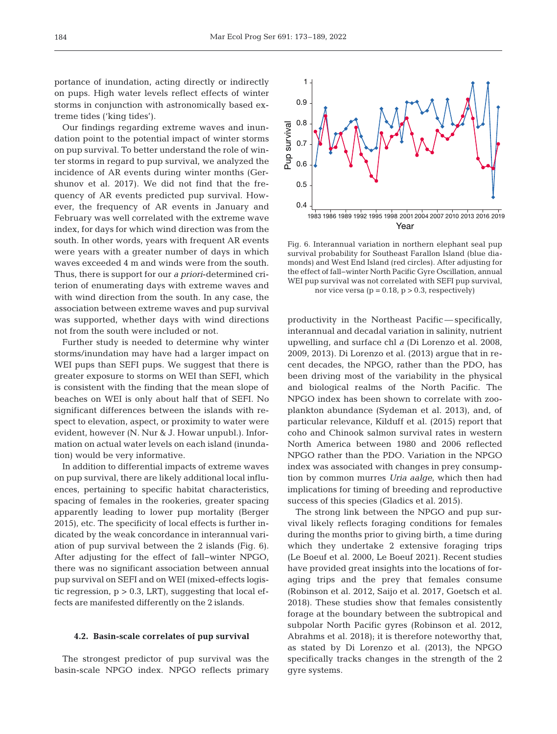portance of inundation, acting directly or indirectly on pups. High water levels reflect effects of winter storms in conjunction with astronomically based extreme tides ('king tides').

Our findings regarding extreme waves and inundation point to the potential impact of winter storms on pup survival. To better understand the role of winter storms in regard to pup survival, we analyzed the incidence of AR events during winter months (Gershunov et al. 2017). We did not find that the frequency of AR events predicted pup survival. However, the frequency of AR events in January and February was well correlated with the extreme wave index, for days for which wind direction was from the south. In other words, years with frequent AR events were years with a greater number of days in which waves exceeded 4 m and winds were from the south. Thus, there is support for our *a priori*-determined criterion of enumerating days with extreme waves and with wind direction from the south. In any case, the association between extreme waves and pup survival was supported, whether days with wind directions not from the south were included or not.

Further study is needed to determine why winter storms/inundation may have had a larger impact on WEI pups than SEFI pups. We suggest that there is greater exposure to storms on WEI than SEFI, which is consistent with the finding that the mean slope of beaches on WEI is only about half that of SEFI. No significant differences between the islands with re spect to elevation, aspect, or proximity to water were evident, however (N. Nur & J. Howar unpubl.). Information on actual water levels on each island (inundation) would be very informative.

In addition to differential impacts of extreme waves on pup survival, there are likely additional local influences, pertaining to specific habitat characteristics, spacing of females in the rookeries, greater spacing apparently leading to lower pup mortality (Berger 2015), etc. The specificity of local effects is further indicated by the weak concordance in interannual variation of pup survival between the 2 islands (Fig. 6). After adjusting for the effect of fall−winter NPGO, there was no significant association between annual pup survival on SEFI and on WEI (mixed-effects logistic regression,  $p > 0.3$ , LRT), suggesting that local effects are manifested differently on the 2 islands.

#### **4.2. Basin-scale correlates of pup survival**

The strongest predictor of pup survival was the basin-scale NPGO index. NPGO reflects primary



Fig. 6. Interannual variation in northern elephant seal pup survival probability for Southeast Farallon Island (blue diamonds) and West End Island (red circles). After adjusting for the effect of fall−winter North Pacific Gyre Oscillation, annual WEI pup survival was not correlated with SEFI pup survival, nor vice versa ( $p = 0.18$ ,  $p > 0.3$ , respectively)

productivity in the Northeast Pacific — specifically, interannual and decadal variation in salinity, nutrient upwelling, and surface chl *a* (Di Lorenzo et al. 2008, 2009, 2013). Di Lorenzo et al. (2013) argue that in re cent decades, the NPGO, rather than the PDO, has been driving most of the variability in the physical and biological realms of the North Pacific. The NPGO index has been shown to correlate with zooplankton abundance (Sydeman et al. 2013), and, of particular relevance, Kilduff et al. (2015) report that coho and Chinook salmon survival rates in western North America between 1980 and 2006 reflected NPGO rather than the PDO. Variation in the NPGO index was associated with changes in prey consumption by common murres *Uria aalge*, which then had implications for timing of breeding and reproductive success of this species (Gladics et al. 2015).

The strong link between the NPGO and pup survival likely reflects foraging conditions for females during the months prior to giving birth, a time during which they undertake 2 extensive foraging trips (Le Boeuf et al. 2000, Le Boeuf 2021). Recent studies have provided great insights into the locations of foraging trips and the prey that females consume (Robinson et al. 2012, Saijo et al. 2017, Goetsch et al. 2018). These studies show that females consistently forage at the boundary between the subtropical and subpolar North Pacific gyres (Robinson et al. 2012, Abrahms et al. 2018); it is therefore noteworthy that, as stated by Di Lorenzo et al. (2013), the NPGO specifically tracks changes in the strength of the 2 gyre systems.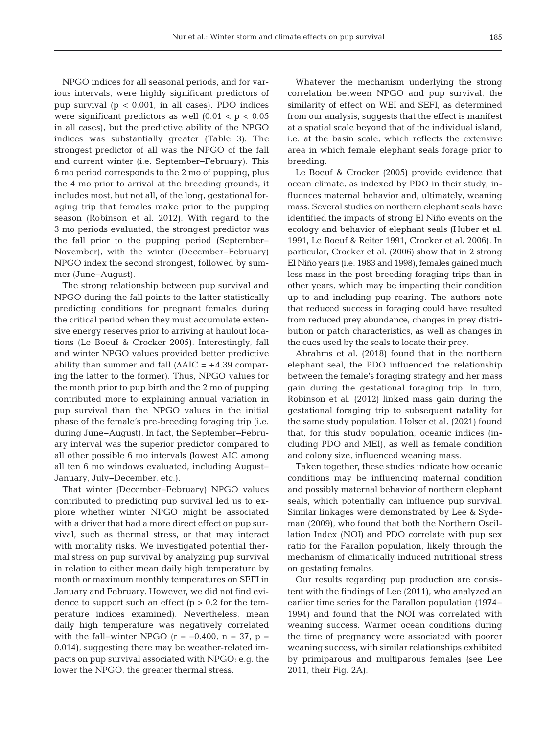NPGO indices for all seasonal periods, and for various intervals, were highly significant predictors of pup survival (p < 0.001, in all cases). PDO indices were significant predictors as well  $(0.01 < p < 0.05)$ in all cases), but the predictive ability of the NPGO in dices was substantially greater (Table 3). The strongest predictor of all was the NPGO of the fall and current winter (i.e. September−February). This 6 mo period corresponds to the 2 mo of pupping, plus the 4 mo prior to arrival at the breeding grounds; it includes most, but not all, of the long, gestational foraging trip that females make prior to the pupping season (Robinson et al. 2012). With regard to the 3 mo periods evaluated, the strongest predictor was the fall prior to the pupping period (September− November), with the winter (December−February) NPGO index the second strongest, followed by summer (June−August).

The strong relationship between pup survival and NPGO during the fall points to the latter statistically predicting conditions for pregnant females during the critical period when they must accumulate extensive energy reserves prior to arriving at haulout locations (Le Boeuf & Crocker 2005). Interestingly, fall and winter NPGO values provided better predictive ability than summer and fall  $(AAIC = +4.39$  comparing the latter to the former). Thus, NPGO values for the month prior to pup birth and the 2 mo of pupping contributed more to explaining annual variation in pup survival than the NPGO values in the initial phase of the female's pre-breeding foraging trip (i.e. during June−August). In fact, the September−February interval was the superior predictor compared to all other possible 6 mo intervals (lowest AIC among all ten 6 mo windows evaluated, including August− January, July−December, etc.).

That winter (December−February) NPGO values contributed to predicting pup survival led us to explore whether winter NPGO might be associated with a driver that had a more direct effect on pup survival, such as thermal stress, or that may interact with mortality risks. We investigated potential thermal stress on pup survival by analyzing pup survival in relation to either mean daily high temperature by month or maximum monthly temperatures on SEFI in January and February. However, we did not find evidence to support such an effect  $(p > 0.2$  for the temperature indices examined). Nevertheless, mean daily high temperature was negatively correlated with the fall–winter NPGO ( $r = -0.400$ ,  $n = 37$ ,  $p =$ 0.014), suggesting there may be weather-related im pacts on pup survival associated with NPGO; e.g. the lower the NPGO, the greater thermal stress.

Whatever the mechanism underlying the strong correlation between NPGO and pup survival, the similarity of effect on WEI and SEFI, as determined from our analysis, suggests that the effect is manifest at a spatial scale beyond that of the individual island, i.e. at the basin scale, which reflects the extensive area in which female elephant seals forage prior to breeding.

Le Boeuf & Crocker (2005) provide evidence that ocean climate, as indexed by PDO in their study, influences maternal behavior and, ultimately, weaning mass. Several studies on northern elephant seals have identified the impacts of strong El Niño events on the ecology and behavior of elephant seals (Huber et al. 1991, Le Boeuf & Reiter 1991, Crocker et al. 2006). In particular, Crocker et al. (2006) show that in 2 strong El Niño years (i.e. 1983 and 1998), females gained much less mass in the post-breeding foraging trips than in other years, which may be impacting their condition up to and including pup rearing. The authors note that reduced success in foraging could have resulted from reduced prey abundance, changes in prey distribution or patch characteristics, as well as changes in the cues used by the seals to locate their prey.

Abrahms et al. (2018) found that in the northern elephant seal, the PDO influenced the relationship be tween the female's foraging strategy and her mass gain during the gestational foraging trip. In turn, Robinson et al. (2012) linked mass gain during the gestational foraging trip to subsequent natality for the same study population. Holser et al. (2021) found that, for this study population, oceanic indices (in cluding PDO and MEI), as well as female condition and colony size, influenced weaning mass.

Taken together, these studies indicate how oceanic conditions may be influencing maternal condition and possibly maternal behavior of northern elephant seals, which potentially can influence pup survival. Similar linkages were demonstrated by Lee & Sydeman (2009), who found that both the Northern Oscillation Index (NOI) and PDO correlate with pup sex ratio for the Farallon population, likely through the mechanism of climatically induced nutritional stress on gestating females.

Our results regarding pup production are consistent with the findings of Lee (2011), who analyzed an earlier time series for the Farallon population (1974− 1994) and found that the NOI was correlated with weaning success. Warmer ocean conditions during the time of pregnancy were associated with poorer weaning success, with similar relationships exhibited by primiparous and multiparous females (see Lee 2011, their Fig. 2A).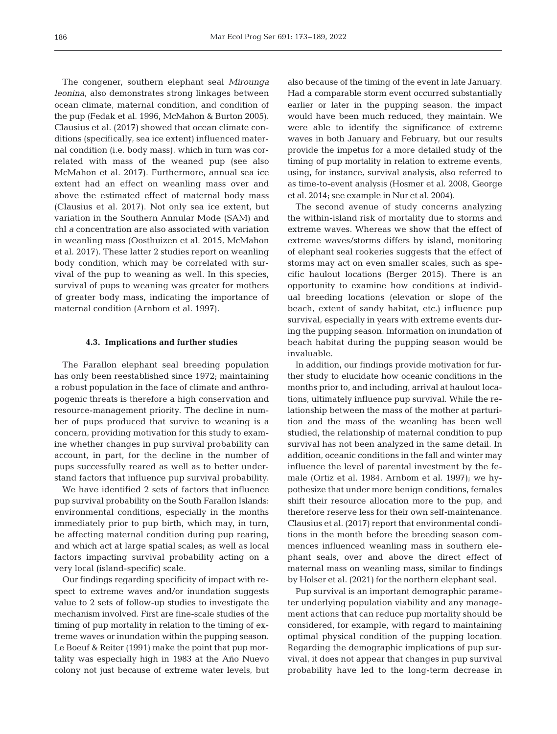The congener, southern elephant seal *Mirounga leonina*, also demonstrates strong linkages between ocean climate, maternal condition, and condition of the pup (Fedak et al. 1996, McMahon & Burton 2005). Clausius et al. (2017) showed that ocean climate conditions (specifically, sea ice extent) influenced maternal condition (i.e. body mass), which in turn was correlated with mass of the weaned pup (see also McMahon et al. 2017). Furthermore, annual sea ice extent had an effect on weanling mass over and above the estimated effect of maternal body mass (Clausius et al. 2017). Not only sea ice extent, but variation in the Southern Annular Mode (SAM) and chl *a* concentration are also associated with variation in weanling mass (Oosthuizen et al. 2015, McMahon et al. 2017). These latter 2 studies report on weanling body condition, which may be correlated with survival of the pup to weaning as well. In this species, survival of pups to weaning was greater for mothers of greater body mass, indicating the importance of maternal condition (Arnbom et al. 1997).

## **4.3. Implications and further studies**

The Farallon elephant seal breeding population has only been reestablished since 1972; maintaining a robust population in the face of climate and anthropogenic threats is therefore a high conservation and resource-management priority. The decline in number of pups produced that survive to weaning is a concern, providing motivation for this study to examine whether changes in pup survival probability can account, in part, for the decline in the number of pups successfully reared as well as to better understand factors that influence pup survival probability.

We have identified 2 sets of factors that influence pup survival probability on the South Farallon Islands: environmental conditions, especially in the months immediately prior to pup birth, which may, in turn, be affecting maternal condition during pup rearing, and which act at large spatial scales; as well as local factors impacting survival probability acting on a very local (island-specific) scale.

Our findings regarding specificity of impact with respect to extreme waves and/or inundation suggests value to 2 sets of follow-up studies to investigate the mechanism involved. First are fine-scale studies of the timing of pup mortality in relation to the timing of extreme waves or inundation within the pupping season. Le Boeuf & Reiter (1991) make the point that pup mortality was especially high in 1983 at the Año Nuevo colony not just because of extreme water levels, but also because of the timing of the event in late January. Had a comparable storm event occurred substantially earlier or later in the pupping season, the impact would have been much reduced, they maintain. We were able to identify the significance of extreme waves in both January and February, but our results provide the impetus for a more detailed study of the timing of pup mortality in relation to extreme events, using, for instance, survival analysis, also referred to as time-to-event analysis (Hosmer et al. 2008, George et al. 2014; see example in Nur et al. 2004).

The second avenue of study concerns analyzing the within-island risk of mortality due to storms and extreme waves. Whereas we show that the effect of extreme waves/storms differs by island, monitoring of elephant seal rookeries suggests that the effect of storms may act on even smaller scales, such as specific haulout locations (Berger 2015). There is an opportunity to examine how conditions at individual breeding locations (elevation or slope of the beach, extent of sandy habitat, etc.) influence pup survival, especially in years with extreme events during the pupping season. Information on inundation of beach habitat during the pupping season would be invaluable.

In addition, our findings provide motivation for further study to elucidate how oceanic conditions in the months prior to, and including, arrival at haulout locations, ultimately influence pup survival. While the relationship between the mass of the mother at parturition and the mass of the weanling has been well studied, the relationship of maternal condition to pup survival has not been analyzed in the same detail. In addition, oceanic conditions in the fall and winter may influence the level of parental investment by the female (Ortiz et al. 1984, Arnbom et al. 1997); we hypothesize that under more benign conditions, females shift their resource allocation more to the pup, and therefore reserve less for their own self-maintenance. Clausius et al. (2017) report that environmental conditions in the month before the breeding season commences influenced weanling mass in southern elephant seals, over and above the direct effect of maternal mass on weanling mass, similar to findings by Holser et al. (2021) for the northern elephant seal.

Pup survival is an important demographic parameter underlying population viability and any management actions that can reduce pup mortality should be considered, for example, with regard to maintaining optimal physical condition of the pupping location. Regarding the demographic implications of pup survival, it does not appear that changes in pup survival probability have led to the long-term decrease in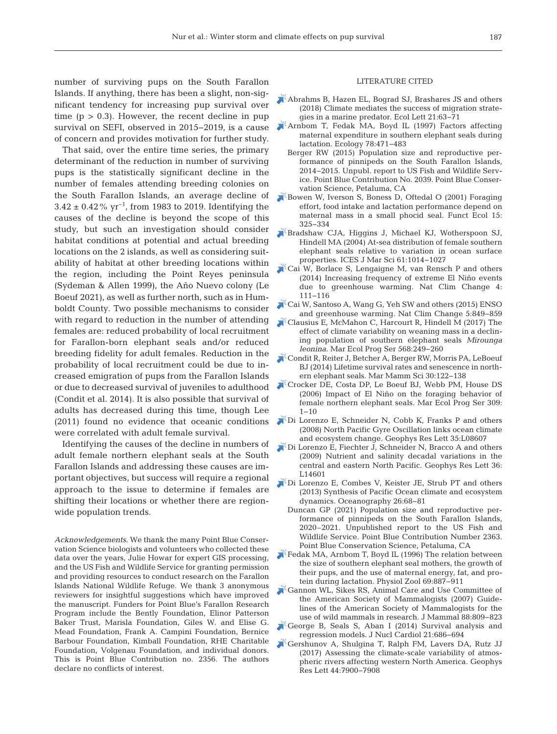number of surviving pups on the South Farallon Islands. If anything, there has been a slight, non-significant tendency for increasing pup survival over time  $(p > 0.3)$ . However, the recent decline in pup survival on SEFI, observed in 2015−2019, is a cause of concern and provides motivation for further study.

That said, over the entire time series, the primary determinant of the reduction in number of surviving pups is the statistically significant decline in the number of females attending breeding colonies on the South Farallon Islands, an average decline of 3.42 ± 0.42% yr−1, from 1983 to 2019. Identifying the causes of the decline is beyond the scope of this study, but such an investigation should consider habitat conditions at potential and actual breeding locations on the 2 islands, as well as considering suitability of habitat at other breeding locations within the region, including the Point Reyes peninsula (Sydeman & Allen 1999), the Año Nuevo colony (Le Boeuf 2021), as well as further north, such as in Humboldt County. Two possible mechanisms to consider with regard to reduction in the number of attending females are: reduced probability of local recruitment for Farallon-born elephant seals and/or reduced breeding fidelity for adult females. Reduction in the probability of local recruitment could be due to in creased emigration of pups from the Farallon Islands or due to decreased survival of juveniles to adulthood (Condit et al. 2014). It is also possible that survival of adults has decreased during this time, though Lee (2011) found no evidence that oceanic conditions were correlated with adult female survival.

Identifying the causes of the decline in numbers of adult female northern elephant seals at the South Farallon Islands and addressing these causes are im portant objectives, but success will require a regional approach to the issue to determine if females are shifting their locations or whether there are regionwide population trends.

*Acknowledgements*. We thank the many Point Blue Conservation Science biologists and volunteers who collected these data over the years, Julie Howar for expert GIS processing, and the US Fish and Wildlife Service for granting permission and providing resources to conduct research on the Farallon Islands National Wildlife Refuge. We thank 3 anonymous reviewers for insightful suggestions which have improved the manuscript. Funders for Point Blue's Farallon Research Program include the Bently Foundation, Elinor Patterson Baker Trust, Marisla Foundation, Giles W. and Elise G. Mead Foundation, Frank A. Campini Foundation, Bernice Barbour Foundation, Kimball Foundation, RHE Charitable Foundation, Volgenau Foundation, and individual donors. This is Point Blue Contribution no. 2356. The authors declare no conflicts of interest.

#### LITERATURE CITED

- [Abrahms B, Hazen EL, Bograd SJ, Brashares JS and others](https://doi.org/10.1111/ele.12871)  (2018) Climate mediates the success of migration strategies in a marine predator. Ecol Lett 21:63−71
- [Arnbom T, Fedak MA, Boyd IL \(1997\) Factors affecting](https://doi.org/10.1890/0012-9658(1997)078%5b0471%3AFAMEIS%5d2.0.CO%3B2)  maternal expenditure in southern elephant seals during lactation. Ecology 78:471-483
	- Berger RW (2015) Population size and reproductive performance of pinnipeds on the South Farallon Islands, 2014−2015. Unpubl. report to US Fish and Wildlife Service. Point Blue Contribution No. 2039. Point Blue Conservation Science, Petaluma, CA
- [Bowen W, Iverson S, Boness D, Oftedal O \(2001\) Foraging](https://doi.org/10.1046/j.1365-2435.2001.00530.x)  effort, food intake and lactation performance depend on maternal mass in a small phocid seal. Funct Ecol 15: 325−334
- [Bradshaw CJA, Higgins J, Michael KJ, Wotherspoon SJ,](https://doi.org/10.1016/j.icesjms.2004.07.012)  Hindell MA (2004) At-sea distribution of female southern elephant seals relative to variation in ocean surface properties. ICES J Mar Sci 61: 1014−1027
- [Cai W, Borlace S, Lengaigne M, van Rensch P and others](https://doi.org/10.1038/nclimate2100)  (2014) Increasing frequency of extreme El Niño events due to greenhouse warming. Nat Clim Change 4: 111−116
- [Cai W, Santoso A, Wang G, Yeh SW and others \(2015\) ENSO](https://doi.org/10.1038/nclimate2743)  and greenhouse warming. Nat Clim Change 5: 849−859
- [Clausius E, McMahon C, Harcourt R, Hindell M \(2017\) The](https://doi.org/10.3354/meps12085)  effect of climate variability on weaning mass in a declining population of southern elephant seals *Mirounga leonina*. Mar Ecol Prog Ser 568:249-260
- [Condit R, Reiter J, Betcher A, Berger RW, Morris PA, LeBoeuf](https://doi.org/10.1111/mms.12025)  BJ (2014) Lifetime survival rates and senescence in northern elephant seals. Mar Mamm Sci 30: 122−138
- [Crocker DE, Costa DP, Le Boeuf BJ, Webb PM, House DS](https://doi.org/10.3354/meps309001)  (2006) Impact of El Niño on the foraging behavior of female northern elephant seals. Mar Ecol Prog Ser 309:  $1-10$
- [Di Lorenzo E, Schneider N, Cobb K, Franks P and others](https://doi.org/10.1029/2007GL032838)  (2008) North Pacific Gyre Oscillation links ocean climate and ecosystem change. Geophys Res Lett 35: L08607
- $\mathbb{R}^k$ Di Lorenzo E, Fiechter J, Schneider N, Bracco A and others (2009) Nutrient and salinity decadal variations in the central and eastern North Pacific. Geophys Res Lett 36: L14601
- [Di Lorenzo E, Combes V, Keister JE, Strub PT and others](https://doi.org/10.5670/oceanog.2013.76)  (2013) Synthesis of Pacific Ocean climate and ecosystem dynamics. Oceanography 26:68-81
	- Duncan GP (2021) Population size and reproductive performance of pinnipeds on the South Farallon Islands, 2020–2021. Unpublished report to the US Fish and Wildlife Service. Point Blue Contribution Number 2363. Point Blue Conservation Science, Petaluma, CA
- Fedak MA, Arnbom T, Boyd IL (1996) The relation between the size of southern elephant seal mothers, the growth of their pups, and the use of maternal energy, fat, and protein during lactation. Physiol Zool 69:887-911
- [Gannon WL, Sikes RS, Animal Care and Use Committee of](https://doi.org/10.1644/06-MAMM-F-185R1.1)  the American Society of Mammalogists (2007) Guidelines of the American Society of Mammalogists for the use of wild mammals in research. J Mammal 88:809-823
- [George B, Seals S, Aban I \(2014\) Survival analysis and](https://doi.org/10.1007/s12350-014-9908-2)  regression models. J Nucl Cardiol 21: 686−694
- [Gershunov A, Shulgina T, Ralph FM, Lavers DA, Rutz JJ](https://doi.org/10.1002/2017GL074175)  (2017) Assessing the climate-scale variability of atmospheric rivers affecting western North America. Geophys Res Lett 44:7900-7908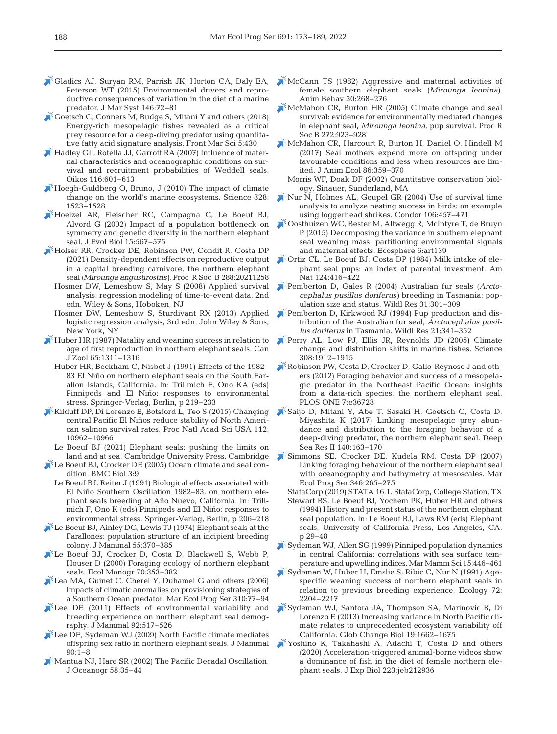- [Gladics AJ, Suryan RM, Parrish JK, Horton CA, Daly EA,](https://doi.org/10.1016/j.jmarsys.2014.06.015)  Peterson WT (2015) Environmental drivers and reproductive consequences of variation in the diet of a marine predator. J Mar Syst 146: 72−81
- [Goetsch C, Conners M, Budge S, Mitani Y and others \(2018\)](https://doi.org/10.3389/fmars.2018.00430)  Energy-rich mesopelagic fishes revealed as a critical prey resource for a deep-diving predator using quantitative fatty acid signature analysis. Front Mar Sci 5:430
- [Hadley GL, Rotella JJ, Garrott RA \(2007\) Influence of mater](https://doi.org/10.1111/j.0030-1299.2007.15528.x)nal characteristics and oceanographic conditions on survival and recruitment probabilities of Weddell seals. Oikos 116: 601−613
- $\blacktriangleright$  Hoegh-Guldberg O, Bruno, J (2010) The impact of climate change on the world's marine ecosystems. Science 328: 1523–1528
- [Hoelzel AR, Fleischer RC, Campagna C, Le Boeuf BJ,](https://doi.org/10.1046/j.1420-9101.2002.00419.x)  Alvord G (2002) Impact of a population bottleneck on symmetry and genetic diversity in the northern elephant seal. J Evol Biol 15:567-575
- [Holser RR, Crocker DE, Robinson PW, Condit R, Costa DP](https://doi.org/10.1098/rspb.2021.1258)  (2021) Density-dependent effects on reproductive output in a capital breeding carnivore, the northern elephant seal *(Mirounga angustirostris)*. Proc R Soc B 288:20211258
	- Hosmer DW, Lemeshow S, May S (2008) Applied survival analysis: regression modeling of time-to-event data, 2nd edn. Wiley & Sons, Hoboken, NJ
	- Hosmer DW, Lemeshow S, Sturdivant RX (2013) Applied logistic regression analysis, 3rd edn. John Wiley & Sons, New York, NY
- $\blacktriangleright$  Huber HR (1987) Natality and weaning success in relation to age of first reproduction in northern elephant seals. Can J Zool 65: 1311−1316
	- Huber HR, Beckham C, Nisbet J (1991) Effects of the 1982− 83 El Niño on northern elephant seals on the South Farallon Islands, California. In: Trillmich F, Ono KA (eds) Pinnipeds and El Niño: responses to environmental stress. Springer-Verlag, Berlin, p 219−233
- [Kilduff DP, Di Lorenzo E, Botsford L, Teo S \(2015\) Changing](https://doi.org/10.1073/pnas.1503190112)  central Pacific El Niños reduce stability of North American salmon survival rates. Proc Natl Acad Sci USA 112: 10962−10966
	- Le Boeuf BJ (2021) Elephant seals: pushing the limits on land and at sea. Cambridge University Press, Cambridge
- [Le Boeuf BJ, Crocker DE \(2005\) Ocean climate and seal con](https://doi.org/10.1186/1741-7007-3-9)dition. BMC Biol 3:9
	- Le Boeuf BJ, Reiter J (1991) Biological effects associated with El Niño Southern Oscillation 1982−83, on northern elephant seals breeding at Año Nuevo, California. In: Trillmich F, Ono K (eds) Pinnipeds and EI Niño: responses to environmental stress. Springer-Verlag, Berlin, p 206−218
- Le Boeuf BJ, Ainley DG, Lewis TJ (1974) Elephant seals at the Farallones: population structure of an incipient breeding colony. J Mammal 55: 370−385
- Le Boeuf BJ, Crocker D, Costa D, Blackwell S, Webb P, Houser D (2000) Foraging ecology of northern elephant seals. Ecol Monogr 70:353-382
- [Lea MA, Guinet C, Cherel Y, Duhamel G and others \(2006\)](https://doi.org/10.3354/meps310077)  Impacts of climatic anomalies on provisioning strategies of a Southern Ocean predator. Mar Ecol Prog Ser 310: 77−94
- Lee DE (2011) Effects of environmental variability and breeding experience on northern elephant seal demography. J Mammal 92:517-526
- Lee DE, Sydeman WJ (2009) North Pacific climate mediates offspring sex ratio in northern elephant seals. J Mammal 90: 1−8
- [Mantua NJ, Hare SR \(2002\) The Pacific Decadal Oscillation.](https://doi.org/10.1023/A%3A1015820616384)  J Oceanogr 58: 35−44
- $\mathbb{R}^4$ McCann TS (1982) Aggressive and maternal activities of female southern elephant seals (*Mirounga leonina)*. Anim Behav 30:268-276
- McMahon CR, Burton HR (2005) Climate change and seal survival: evidence for environmentally mediated changes in elephant seal, *Mirounga leonina*, pup survival. Proc R Soc B 272:923-928
- [McMahon CR, Harcourt R, Burton H, Daniel O, Hindell M](https://doi.org/10.1111/1365-2656.12611)  (2017) Seal mothers expend more on offspring under favourable conditions and less when resources are limited. J Anim Ecol 86: 359−370
- Morris WF, Doak DF (2002) Quantitative conservation biology. Sinauer, Sunderland, MA
- [Nur N, Holmes AL, Geupel GR \(2004\) Use of survival time](https://doi.org/10.1093/condor/106.3.457)  analysis to analyze nesting success in birds: an example using loggerhead shrikes. Condor 106:457-471
- [Oosthuizen WC, Bester M, Altwegg R, McIntyre T, de Bruyn](https://doi.org/10.1890/ES14-00508.1)  P (2015) Decomposing the variance in southern elephant seal weaning mass: partitioning environmental signals and maternal effects. Ecosphere 6:art139
- [Ortiz CL, Le Boeuf BJ, Costa DP \(1984\) Milk intake of ele](https://doi.org/10.1086/284282)phant seal pups: an index of parental investment. Am Nat 124:416-422
- [Pemberton D, Gales R \(2004\) Australian fur seals \(](https://doi.org/10.1071/WR02083)*Arctocephalus pusillus doriferus*) breeding in Tasmania: population size and status. Wildl Res 31: 301−309
- [Pemberton D, Kirkwood RJ \(1994\) Pup production and dis](https://doi.org/10.1071/WR9940341)tribution of the Australian fur seal, *Arctocephalus pusillus doriferus* in Tasmania. Wildl Res 21: 341−352
- [Perry AL, Low PJ, Ellis JR, Reynolds JD \(2005\) Climate](https://doi.org/10.1126/science.1111322)  change and distribution shifts in marine fishes. Science 308: 1912−1915
- [Robinson PW, Costa D, Crocker D, Gallo-Reynoso J and oth](https://doi.org/10.1371/journal.pone.0036728)ers (2012) Foraging behavior and success of a mesopelagic predator in the Northeast Pacific Ocean: insights from a data-rich species, the northern elephant seal. PLOS ONE 7:e36728
- [Saijo D, Mitani Y, Abe T, Sasaki H, Goetsch C, Costa D,](https://doi.org/10.1016/j.dsr2.2016.11.007)  Miyashita K (2017) Linking mesopelagic prey abundance and distribution to the foraging behavior of a deep-diving predator, the northern elephant seal. Deep Sea Res II 140:163-170
- [Simmons SE, Crocker DE, Kudela RM, Costa DP \(2007\)](https://doi.org/10.3354/meps07014)  Linking foraging behaviour of the northern elephant seal with oceanography and bathymetry at mesoscales. Mar Ecol Prog Ser 346: 265−275
	- StataCorp (2019) STATA 16.1. StataCorp, College Station, TX Stewart BS, Le Boeuf BJ, Yochem PK, Huber HR and others (1994) History and present status of the northern elephant seal population. In: Le Boeuf BJ, Laws RM (eds) Elephant seals. University of California Press, Los Angeles, CA, p 29−48
- Sydeman WJ, Allen SG (1999) Pinniped population dynamics in central California: correlations with sea surface temperature and upwelling indices. Mar Mamm Sci 15: 446−461
- [Sydeman W, Huber H, Emslie S, Ribic C, Nur N \(1991\) Age](https://doi.org/10.2307/1941571)specific weaning success of northern elephant seals in relation to previous breeding experience. Ecology 72: 2204−2217
- [Sydeman WJ, Santora JA, Thompson SA, Marinovic B, Di](https://doi.org/10.1111/gcb.12165)  Lorenzo E (2013) Increasing variance in North Pacific climate relates to unprecedented ecosystem variability off California. Glob Change Biol 19: 1662−1675
- [Yoshino K, Takahashi A, Adachi T, Costa D and others](https://doi.org/10.1242/jeb.212936)  (2020) Acceleration-triggered animal-borne videos show a dominance of fish in the diet of female northern elephant seals. J Exp Biol 223: jeb212936